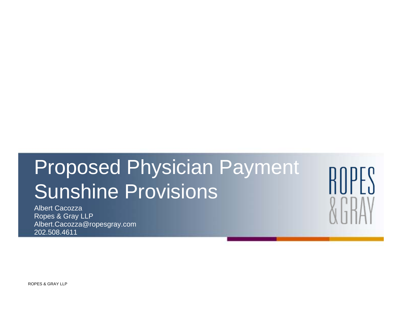Albert CacozzaRopes & Gray LLP Albert.Cacozza@ropesgray.com 202.508.4611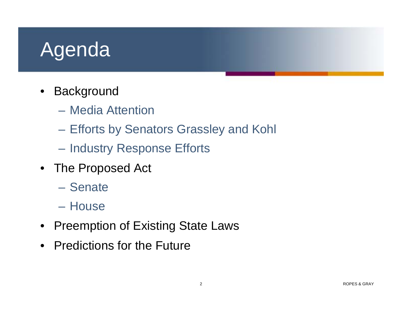# Agenda

- Background
	- Media Attention
	- Efforts by Senators Grassley and Kohl
	- Industry Response Efforts
- The Proposed Act
	- Senate
	- House
- Preemption of Existing State Laws
- Predictions for the Future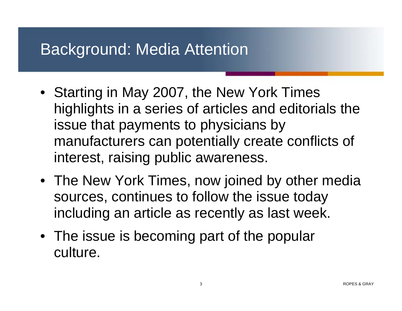### Background: Media Attention

- Starting in May 2007, the New York Times highlights in a series of articles and editorials the issue that payments to physicians by manufacturers can potentially create conflicts of interest, raising public awareness.
- The New York Times, now joined by other media sources, continues to follow the issue today including an article as recently as last week.
- The issue is becoming part of the popular culture.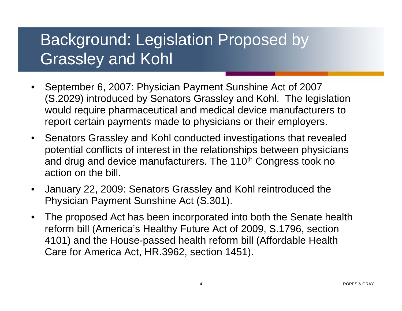### Background: Legislation Proposed by Grassley and Kohl

- September 6, 2007: Physician Payment Sunshine Act of 2007 (S.2029) introduced by Senators Grassley and Kohl. The legislation would require pharmaceutical and medical device manufacturers to report certain payments made to physicians or their employers.
- Senators Grassley and Kohl conducted investigations that revealed potential conflicts of interest in the relationships between physicians and drug and device manufacturers. The 110<sup>th</sup> Congress took no action on the bill.
- January 22, 2009: Senators Grassley and Kohl reintroduced the Physician Payment Sunshine Act (S.301).
- The proposed Act has been incorporated into both the Senate health reform bill (America's Healthy Future Act of 2009, S.1796, section 4101) and the House-passed health reform bill (Affordable Health Care for America Act, HR.3962, section 1451).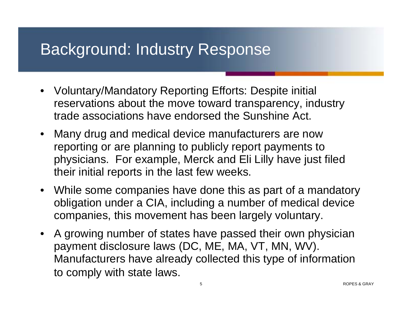### Background: Industry Response

- Voluntary/Mandatory Reporting Efforts: Despite initial reservations about the move toward transparency, industry trade associations have endorsed the Sunshine Act.
- Many drug and medical device manufacturers are now reporting or are planning to publicly report payments to physicians. For example, Merck and Eli Lilly have just filed their initial reports in the last few weeks.
- While some companies have done this as part of a mandatory obligation under a CIA, including a number of medical device companies, this movement has been largely voluntary.
- A growing number of states have passed their own physician payment disclosure laws (DC, ME, MA, VT, MN, WV). Manufacturers have already collected this type of information to comply with state laws.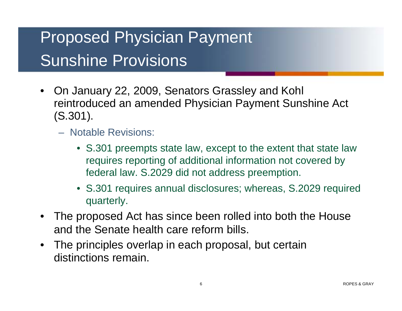- On January 22, 2009, Senators Grassley and Kohl reintroduced an amended Physician Payment Sunshine Act (S.301).
	- Notable Revisions:
		- S.301 preempts state law, except to the extent that state law requires reporting of additional information not covered by federal law. S.2029 did not address preemption.
		- S.301 requires annual disclosures; whereas, S.2029 required quarterly.
- The proposed Act has since been rolled into both the House and the Senate health care reform bills.
- The principles overlap in each proposal, but certain distinctions remain.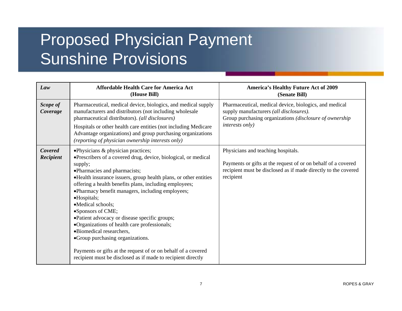| Law                  | <b>Affordable Health Care for America Act</b><br>(House Bill)                                                                                                                                                                                                                                                                                                                                                                                                                                                                                                                                                                                                                                 | <b>America's Healthy Future Act of 2009</b><br>(Senate Bill)                                                                                                                           |
|----------------------|-----------------------------------------------------------------------------------------------------------------------------------------------------------------------------------------------------------------------------------------------------------------------------------------------------------------------------------------------------------------------------------------------------------------------------------------------------------------------------------------------------------------------------------------------------------------------------------------------------------------------------------------------------------------------------------------------|----------------------------------------------------------------------------------------------------------------------------------------------------------------------------------------|
| Scope of<br>Coverage | Pharmaceutical, medical device, biologics, and medical supply<br>manufacturers and distributors (not including wholesale<br>pharmaceutical distributors). (all disclosures)<br>Hospitals or other health care entities (not including Medicare<br>Advantage organizations) and group purchasing organizations<br>(reporting of physician ownership interests only)                                                                                                                                                                                                                                                                                                                            | Pharmaceutical, medical device, biologics, and medical<br>supply manufacturers (all disclosures).<br>Group purchasing organizations (disclosure of ownership<br><i>interests only)</i> |
| Covered<br>Recipient | •Physicians & physician practices;<br>•Prescribers of a covered drug, device, biological, or medical<br>supply;<br>·Pharmacies and pharmacists;<br>•Health insurance issuers, group health plans, or other entities<br>offering a health benefits plans, including employees;<br>·Pharmacy benefit managers, including employees;<br>•Hospitals;<br>•Medical schools;<br>•Sponsors of CME;<br>•Patient advocacy or disease specific groups;<br>•Organizations of health care professionals;<br>·Biomedical researchers,<br>• Group purchasing organizations.<br>Payments or gifts at the request of or on behalf of a covered<br>recipient must be disclosed as if made to recipient directly | Physicians and teaching hospitals.<br>Payments or gifts at the request of or on behalf of a covered<br>recipient must be disclosed as if made directly to the covered<br>recipient     |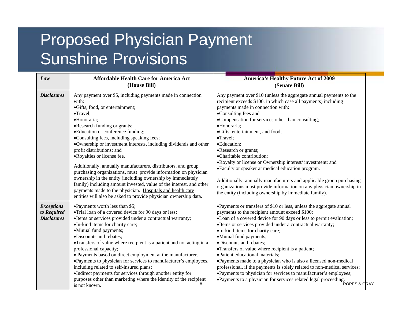| Law                                                    | <b>Affordable Health Care for America Act</b><br>(House Bill)                                                                                                                                                                                                                                                                                                                                                                                                                                                                                                                                                                                                                                                                                                                                     | <b>America's Healthy Future Act of 2009</b><br>(Senate Bill)                                                                                                                                                                                                                                                                                                                                                                                                                                                                                                                                                                                                                                                                                                                                            |
|--------------------------------------------------------|---------------------------------------------------------------------------------------------------------------------------------------------------------------------------------------------------------------------------------------------------------------------------------------------------------------------------------------------------------------------------------------------------------------------------------------------------------------------------------------------------------------------------------------------------------------------------------------------------------------------------------------------------------------------------------------------------------------------------------------------------------------------------------------------------|---------------------------------------------------------------------------------------------------------------------------------------------------------------------------------------------------------------------------------------------------------------------------------------------------------------------------------------------------------------------------------------------------------------------------------------------------------------------------------------------------------------------------------------------------------------------------------------------------------------------------------------------------------------------------------------------------------------------------------------------------------------------------------------------------------|
| <b>Disclosures</b>                                     | Any payment over \$5, including payments made in connection<br>with:<br>·Gifts, food, or entertainment;<br>•Travel;<br>·Honoraria;<br>•Research funding or grants;<br>• Education or conference funding;<br>•Consulting fees, including speaking fees;<br>·Ownership or investment interests, including dividends and other<br>profit distributions; and<br>•Royalties or license fee.<br>Additionally, annually manufacturers, distributors, and group<br>purchasing organizations, must provide information on physician<br>ownership in the entity (including ownership by immediately<br>family) including amount invested, value of the interest, and other<br>payments made to the physician. Hospitals and health care<br>entities will also be asked to provide physician ownership data. | Any payment over \$10 (unless the aggregate annual payments to the<br>recipient exceeds \$100, in which case all payments) including<br>payments made in connection with:<br>•Consulting fees and<br>•Compensation for services other than consulting;<br>·Honoraria;<br>·Gifts, entertainment, and food;<br>$\bullet$ Travel:<br>•Education:<br>•Research or grants;<br>•Charitable contribution;<br>• Royalty or license or Ownership interest/investment; and<br>•Faculty or speaker at medical education program.<br>Additionally, annually manufacturers and applicable group purchasing<br>organizations must provide information on any physician ownership in<br>the entity (including ownership by immediate family).                                                                          |
| <b>Exceptions</b><br>to Required<br><b>Disclosures</b> | •Payments worth less than \$5;<br>•Trial loan of a covered device for 90 days or less;<br>•Items or services provided under a contractual warranty;<br>•In-kind items for charity care;<br>•Mutual fund payments;<br>·Discounts and rebates;<br>•Transfers of value where recipient is a patient and not acting in a<br>professional capacity;<br>• Payments based on direct employment at the manufacturer.<br>•Payments to physician for services to manufacturer's employees,<br>including related to self-insured plans;<br>•Indirect payments for services through another entity for<br>purposes other than marketing where the identity of the recipient<br>is not known.                                                                                                                  | •Payments or transfers of \$10 or less, unless the aggregate annual<br>payments to the recipient amount exceed \$100;<br>•Loan of a covered device for 90 days or less to permit evaluation;<br>•Items or services provided under a contractual warranty;<br>•In-kind items for charity care;<br>•Mutual fund payments;<br>·Discounts and rebates;<br>•Transfers of value where recipient is a patient;<br>• Patient educational materials;<br>•Payments made to a physician who is also a licensed non-medical<br>professional, if the payments is solely related to non-medical services;<br>•Payments to physician for services to manufacturer's employees;<br>• Payments to a physician for services related legal proceeding.<br>• Payments to a physician for services related legal proceeding. |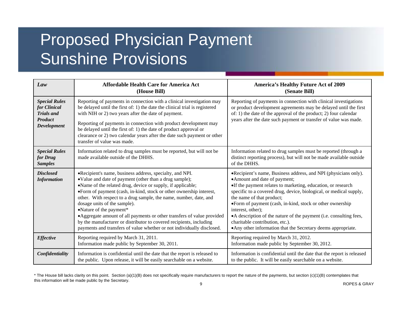| Law                                                                                               | <b>Affordable Health Care for America Act</b><br>(House Bill)                                                                                                                                                                                                                                                                                                                                                                                                                                                                                                                                                        | <b>America's Healthy Future Act of 2009</b><br>(Senate Bill)                                                                                                                                                                                                                                                                                                                                                                                                                                                                     |
|---------------------------------------------------------------------------------------------------|----------------------------------------------------------------------------------------------------------------------------------------------------------------------------------------------------------------------------------------------------------------------------------------------------------------------------------------------------------------------------------------------------------------------------------------------------------------------------------------------------------------------------------------------------------------------------------------------------------------------|----------------------------------------------------------------------------------------------------------------------------------------------------------------------------------------------------------------------------------------------------------------------------------------------------------------------------------------------------------------------------------------------------------------------------------------------------------------------------------------------------------------------------------|
| <b>Special Rules</b><br>for Clinical<br><b>Trials and</b><br><b>Product</b><br><b>Development</b> | Reporting of payments in connection with a clinical investigation may<br>be delayed until the first of: 1) the date the clinical trial is registered<br>with NIH or 2) two years after the date of payment.<br>Reporting of payments in connection with product development may<br>be delayed until the first of: 1) the date of product approval or<br>clearance or 2) two calendar years after the date such payment or other<br>transfer of value was made.                                                                                                                                                       | Reporting of payments in connection with clinical investigations<br>or product development agreements may be delayed until the first<br>of: 1) the date of the approval of the product; 2) four calendar<br>years after the date such payment or transfer of value was made.                                                                                                                                                                                                                                                     |
| <b>Special Rules</b><br>for Drug<br><b>Samples</b>                                                | Information related to drug samples must be reported, but will not be<br>made available outside of the DHHS.                                                                                                                                                                                                                                                                                                                                                                                                                                                                                                         | Information related to drug samples must be reported (through a<br>distinct reporting process), but will not be made available outside<br>of the DHHS.                                                                                                                                                                                                                                                                                                                                                                           |
| <b>Disclosed</b><br><b>Information</b>                                                            | •Recipient's name, business address, specialty, and NPI.<br>•Value and date of payment (other than a drug sample);<br>•Name of the related drug, device or supply, if applicable;<br>•Form of payment (cash, in-kind, stock or other ownership interest,<br>other. With respect to a drug sample, the name, number, date, and<br>dosage units of the sample).<br>•Nature of the payment*<br>• Aggregate amount of all payments or other transfers of value provided<br>by the manufacturer or distributor to covered recipients, including<br>payments and transfers of value whether or not individually disclosed. | •Recipient's name, Business address, and NPI (physicians only).<br>• Amount and date of payment;<br>•If the payment relates to marketing, education, or research<br>specific to a covered drug, device, biological, or medical supply,<br>the name of that product;<br>•Form of payment (cash, in-kind, stock or other ownership<br>interest, other);<br>• A description of the nature of the payment (i.e. consulting fees,<br>charitable contribution, etc.).<br>• Any other information that the Secretary deems appropriate. |
| <b>Effective</b>                                                                                  | Reporting required by March 31, 2011.<br>Information made public by September 30, 2011.                                                                                                                                                                                                                                                                                                                                                                                                                                                                                                                              | Reporting required by March 31, 2012.<br>Information made public by September 30, 2012.                                                                                                                                                                                                                                                                                                                                                                                                                                          |
| Confidentiality                                                                                   | Information is confidential until the date that the report is released to<br>the public. Upon release, it will be easily searchable on a website.                                                                                                                                                                                                                                                                                                                                                                                                                                                                    | Information is confidential until the date that the report is released<br>to the public. It will be easily searchable on a website.                                                                                                                                                                                                                                                                                                                                                                                              |

\* The House bill lacks clarity on this point. Section (a)(1)(B) does not specifically require manufacturers to report the nature of the payments, but section (c)(1)(B) contemplates that this information will be made public by the Secretary.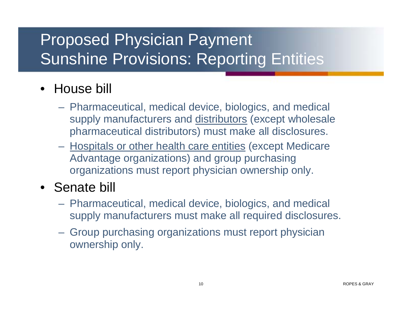### Proposed Physician Payment Sunshine Provisions: Reporting Entities

#### • House bill

- Pharmaceutical, medical device, biologics, and medical supply manufacturers and distributors (except wholesale pharmaceutical distributors) must make all disclosures.
- Hospitals or other health care entities (except Medicare Advantage organizations) and group purchasing organizations must report physician ownership only.

#### • Senate bill

- Pharmaceutical, medical device, biologics, and medical supply manufacturers must make all required disclosures.
- Group purchasing organizations must report physician ownership only.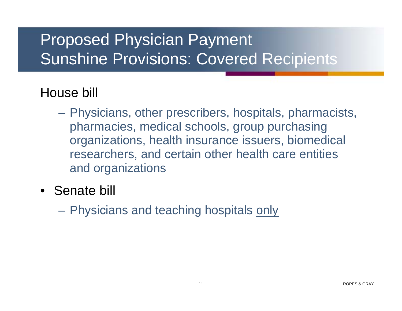### Proposed Physician Payment Sunshine Provisions: Covered Recipients

#### House bill

- Physicians, other prescribers, hospitals, pharmacists, pharmacies, medical schools, group purchasing organizations, health insurance issuers, biomedical researchers, and certain other health care entities and organizations
- Senate bill

– Physicians and teaching hospitals only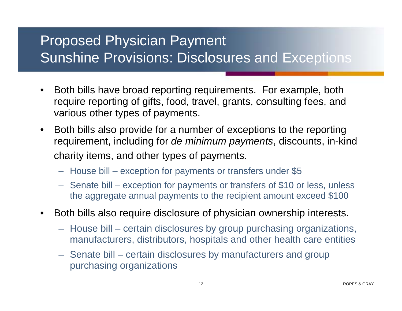#### Proposed Physician Payment Sunshine Provisions: Disclosures and Exceptions

- Both bills have broad reporting requirements. For example, both require reporting of gifts, food, travel, grants, consulting fees, and various other types of payments.
- Both bills also provide for a number of exceptions to the reporting requirement, including for *de minimum payments*, discounts, in-kind charity items, and other types of payments*.*
	- House bill exception for payments or transfers under \$5
	- Senate bill exception for payments or transfers of \$10 or less, unless the aggregate annual payments to the recipient amount exceed \$100
- Both bills also require disclosure of physician ownership interests.
	- House bill certain disclosures by group purchasing organizations, manufacturers, distributors, hospitals and other health care entities
	- Senate bill certain disclosures by manufacturers and group purchasing organizations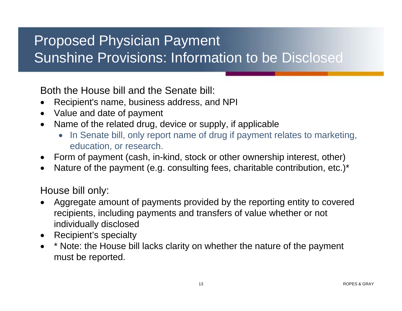#### Proposed Physician Payment Sunshine Provisions: Information to be Disclosed

Both the House bill and the Senate bill:

- •Recipient's name, business address, and NPI
- •Value and date of payment
- $\bullet$  Name of the related drug, device or supply, if applicable
	- In Senate bill, only report name of drug if payment relates to marketing, education, or research.
- $\bullet$ Form of payment (cash, in-kind, stock or other ownership interest, other)
- $\bullet$ Nature of the payment (e.g. consulting fees, charitable contribution, etc.)\*

House bill only:

- • Aggregate amount of payments provided by the reporting entity to covered recipients, including payments and transfers of value whether or not individually disclosed
- Recipient's specialty
- • \* Note: the House bill lacks clarity on whether the nature of the payment must be reported.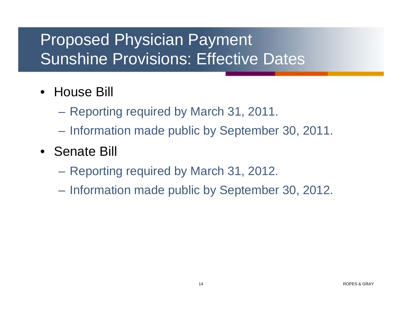### Proposed Physician Payment Sunshine Provisions: Effective Dates

- House Bill
	- Reporting required by March 31, 2011.
	- Information made public by September 30, 2011.
- Senate Bill
	- Reporting required by March 31, 2012.
	- Information made public by September 30, 2012.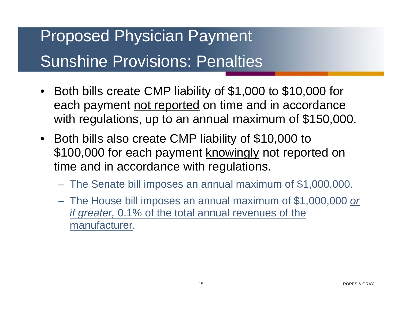## Proposed Physician Payment Sunshine Provisions: Penalties

- Both bills create CMP liability of \$1,000 to \$10,000 for each payment not reported on time and in accordance with regulations, up to an annual maximum of \$150,000.
- Both bills also create CMP liability of \$10,000 to \$100,000 for each payment knowingly not reported on time and in accordance with regulations.
	- The Senate bill imposes an annual maximum of \$1,000,000.
	- The House bill imposes an annual maximum of \$1,000,000 *or if greater,* 0.1% of the total annual revenues of the manufacturer.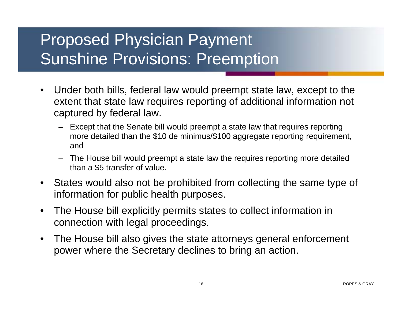### Proposed Physician Payment Sunshine Provisions: Preemption

- Under both bills, federal law would preempt state law, except to the extent that state law requires reporting of additional information not captured by federal law.
	- Except that the Senate bill would preempt a state law that requires reporting more detailed than the \$10 de minimus/\$100 aggregate reporting requirement, and
	- The House bill would preempt a state law the requires reporting more detailed than a \$5 transfer of value.
- States would also not be prohibited from collecting the same type of information for public health purposes.
- The House bill explicitly permits states to collect information in connection with legal proceedings.
- The House bill also gives the state attorneys general enforcement power where the Secretary declines to bring an action.